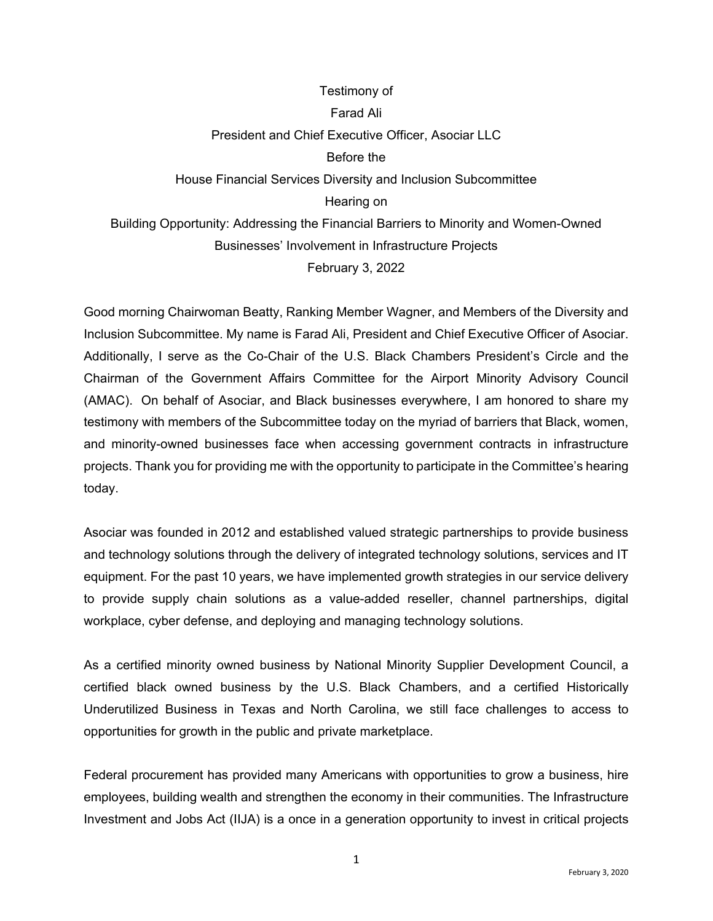## Testimony of Farad Ali President and Chief Executive Officer, Asociar LLC Before the House Financial Services Diversity and Inclusion Subcommittee Hearing on Building Opportunity: Addressing the Financial Barriers to Minority and Women-Owned Businesses' Involvement in Infrastructure Projects February 3, 2022

Good morning Chairwoman Beatty, Ranking Member Wagner, and Members of the Diversity and Inclusion Subcommittee. My name is Farad Ali, President and Chief Executive Officer of Asociar. Additionally, I serve as the Co-Chair of the U.S. Black Chambers President's Circle and the Chairman of the Government Affairs Committee for the Airport Minority Advisory Council (AMAC). On behalf of Asociar, and Black businesses everywhere, I am honored to share my testimony with members of the Subcommittee today on the myriad of barriers that Black, women, and minority-owned businesses face when accessing government contracts in infrastructure projects. Thank you for providing me with the opportunity to participate in the Committee's hearing today.

Asociar was founded in 2012 and established valued strategic partnerships to provide business and technology solutions through the delivery of integrated technology solutions, services and IT equipment. For the past 10 years, we have implemented growth strategies in our service delivery to provide supply chain solutions as a value-added reseller, channel partnerships, digital workplace, cyber defense, and deploying and managing technology solutions.

As a certified minority owned business by National Minority Supplier Development Council, a certified black owned business by the U.S. Black Chambers, and a certified Historically Underutilized Business in Texas and North Carolina, we still face challenges to access to opportunities for growth in the public and private marketplace.

Federal procurement has provided many Americans with opportunities to grow a business, hire employees, building wealth and strengthen the economy in their communities. The Infrastructure Investment and Jobs Act (IIJA) is a once in a generation opportunity to invest in critical projects

1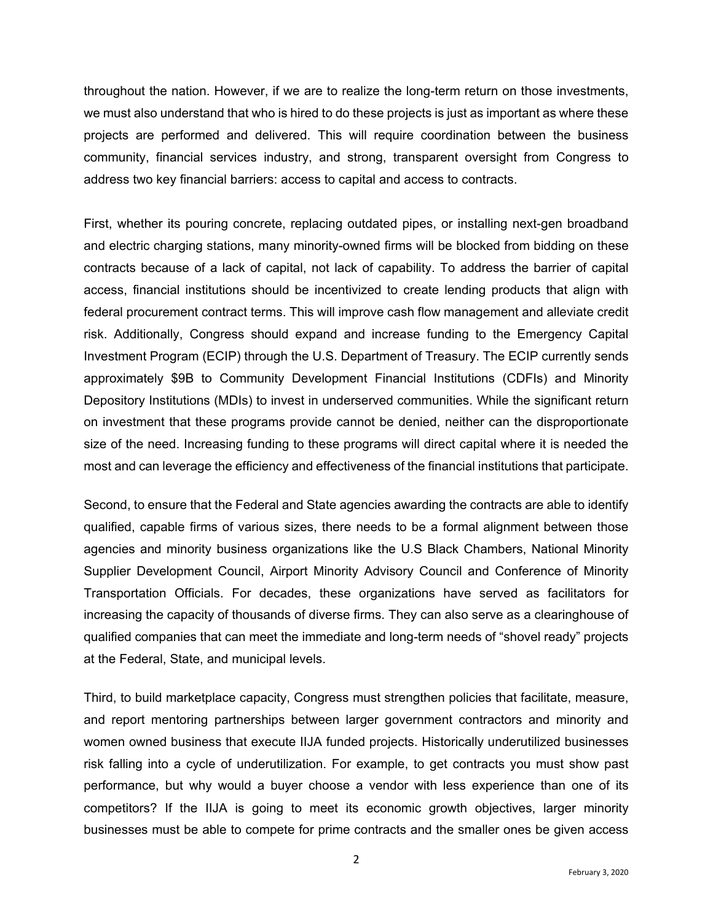throughout the nation. However, if we are to realize the long-term return on those investments, we must also understand that who is hired to do these projects is just as important as where these projects are performed and delivered. This will require coordination between the business community, financial services industry, and strong, transparent oversight from Congress to address two key financial barriers: access to capital and access to contracts.

First, whether its pouring concrete, replacing outdated pipes, or installing next-gen broadband and electric charging stations, many minority-owned firms will be blocked from bidding on these contracts because of a lack of capital, not lack of capability. To address the barrier of capital access, financial institutions should be incentivized to create lending products that align with federal procurement contract terms. This will improve cash flow management and alleviate credit risk. Additionally, Congress should expand and increase funding to the Emergency Capital Investment Program (ECIP) through the U.S. Department of Treasury. The ECIP currently sends approximately \$9B to Community Development Financial Institutions (CDFIs) and Minority Depository Institutions (MDIs) to invest in underserved communities. While the significant return on investment that these programs provide cannot be denied, neither can the disproportionate size of the need. Increasing funding to these programs will direct capital where it is needed the most and can leverage the efficiency and effectiveness of the financial institutions that participate.

Second, to ensure that the Federal and State agencies awarding the contracts are able to identify qualified, capable firms of various sizes, there needs to be a formal alignment between those agencies and minority business organizations like the U.S Black Chambers, National Minority Supplier Development Council, Airport Minority Advisory Council and Conference of Minority Transportation Officials. For decades, these organizations have served as facilitators for increasing the capacity of thousands of diverse firms. They can also serve as a clearinghouse of qualified companies that can meet the immediate and long-term needs of "shovel ready" projects at the Federal, State, and municipal levels.

Third, to build marketplace capacity, Congress must strengthen policies that facilitate, measure, and report mentoring partnerships between larger government contractors and minority and women owned business that execute IIJA funded projects. Historically underutilized businesses risk falling into a cycle of underutilization. For example, to get contracts you must show past performance, but why would a buyer choose a vendor with less experience than one of its competitors? If the IIJA is going to meet its economic growth objectives, larger minority businesses must be able to compete for prime contracts and the smaller ones be given access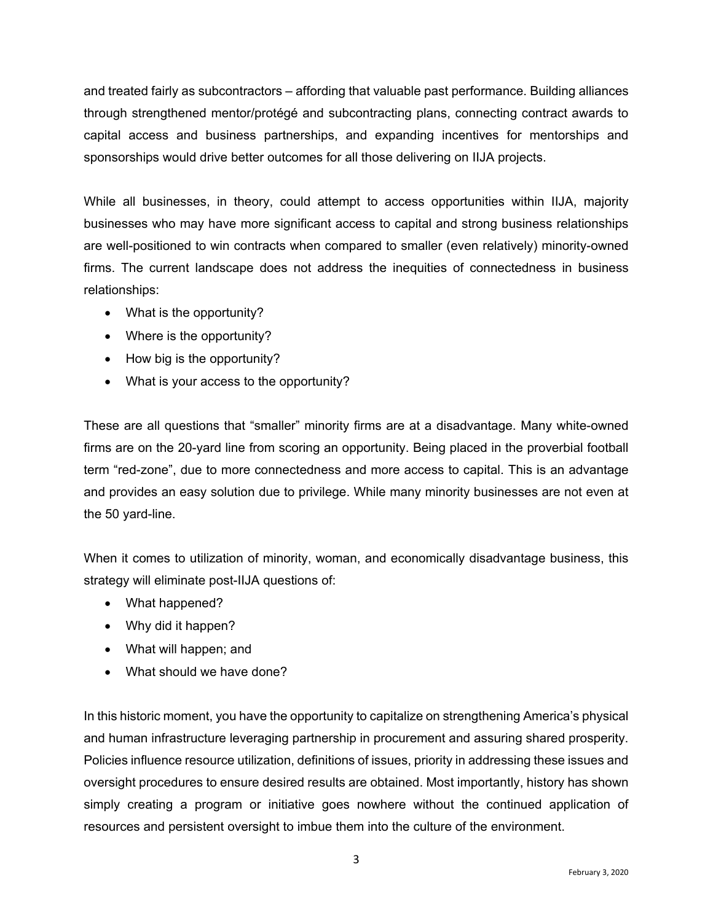and treated fairly as subcontractors – affording that valuable past performance. Building alliances through strengthened mentor/protégé and subcontracting plans, connecting contract awards to capital access and business partnerships, and expanding incentives for mentorships and sponsorships would drive better outcomes for all those delivering on IIJA projects.

While all businesses, in theory, could attempt to access opportunities within IIJA, majority businesses who may have more significant access to capital and strong business relationships are well-positioned to win contracts when compared to smaller (even relatively) minority-owned firms. The current landscape does not address the inequities of connectedness in business relationships:

- What is the opportunity?
- Where is the opportunity?
- How big is the opportunity?
- What is your access to the opportunity?

These are all questions that "smaller" minority firms are at a disadvantage. Many white-owned firms are on the 20-yard line from scoring an opportunity. Being placed in the proverbial football term "red-zone", due to more connectedness and more access to capital. This is an advantage and provides an easy solution due to privilege. While many minority businesses are not even at the 50 yard-line.

When it comes to utilization of minority, woman, and economically disadvantage business, this strategy will eliminate post-IIJA questions of:

- What happened?
- Why did it happen?
- What will happen; and
- What should we have done?

In this historic moment, you have the opportunity to capitalize on strengthening America's physical and human infrastructure leveraging partnership in procurement and assuring shared prosperity. Policies influence resource utilization, definitions of issues, priority in addressing these issues and oversight procedures to ensure desired results are obtained. Most importantly, history has shown simply creating a program or initiative goes nowhere without the continued application of resources and persistent oversight to imbue them into the culture of the environment.